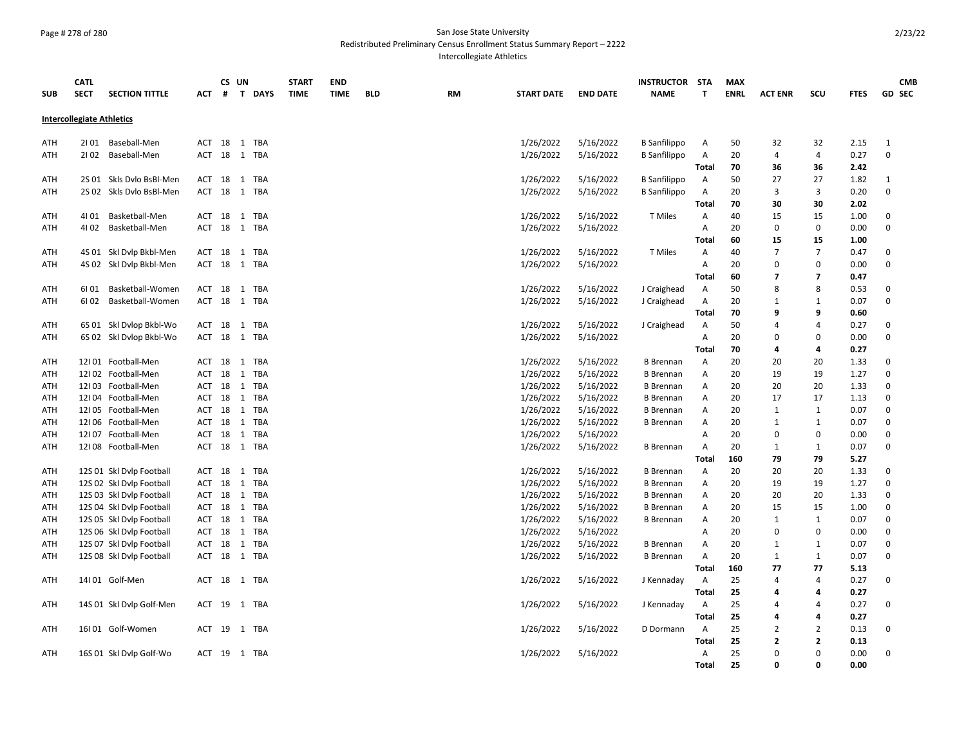## Page # 278 of 280 San Jose State University Redistributed Preliminary Census Enrollment Status Summary Report – 2222

Intercollegiate Athletics

|            | <b>CATL</b>                      |                          |        |   | CS UN        | <b>START</b> | <b>END</b>  |            |           |                   |                 | <b>INSTRUCTOR STA</b> |                | <b>MAX</b>  |                         |                          |             | <b>CMB</b>    |
|------------|----------------------------------|--------------------------|--------|---|--------------|--------------|-------------|------------|-----------|-------------------|-----------------|-----------------------|----------------|-------------|-------------------------|--------------------------|-------------|---------------|
| <b>SUB</b> | <b>SECT</b>                      | <b>SECTION TITTLE</b>    | ACT    | # | T DAYS       | <b>TIME</b>  | <b>TIME</b> | <b>BLD</b> | <b>RM</b> | <b>START DATE</b> | <b>END DATE</b> | <b>NAME</b>           | $\mathbf{T}$   | <b>ENRL</b> | <b>ACT ENR</b>          | scu                      | <b>FTES</b> | <b>GD SEC</b> |
|            |                                  |                          |        |   |              |              |             |            |           |                   |                 |                       |                |             |                         |                          |             |               |
|            | <b>Intercollegiate Athletics</b> |                          |        |   |              |              |             |            |           |                   |                 |                       |                |             |                         |                          |             |               |
| ATH        |                                  | 2101 Baseball-Men        |        |   | ACT 18 1 TBA |              |             |            |           | 1/26/2022         | 5/16/2022       | <b>B</b> Sanfilippo   | Α              | 50          | 32                      | 32                       | 2.15        | 1             |
| ATH        |                                  | 2102 Baseball-Men        |        |   | ACT 18 1 TBA |              |             |            |           | 1/26/2022         | 5/16/2022       | <b>B</b> Sanfilippo   | Α              | 20          | $\overline{4}$          | 4                        | 0.27        | $\mathbf 0$   |
|            |                                  |                          |        |   |              |              |             |            |           |                   |                 |                       | Total          | 70          | 36                      | 36                       | 2.42        |               |
| ATH        |                                  | 2S 01 Skls Dvlo BsBl-Men |        |   | ACT 18 1 TBA |              |             |            |           | 1/26/2022         | 5/16/2022       | <b>B</b> Sanfilippo   | A              | 50          | 27                      | 27                       | 1.82        | $\mathbf{1}$  |
| ATH        |                                  | 2S 02 Skls Dvlo BsBl-Men |        |   | ACT 18 1 TBA |              |             |            |           | 1/26/2022         | 5/16/2022       | <b>B</b> Sanfilippo   | A              | 20          | 3                       | 3                        | 0.20        | 0             |
|            |                                  |                          |        |   |              |              |             |            |           |                   |                 |                       | Total          | 70          | 30                      | 30                       | 2.02        |               |
| ATH        |                                  | 4101 Basketball-Men      |        |   | ACT 18 1 TBA |              |             |            |           | 1/26/2022         | 5/16/2022       | T Miles               | Α              | 40          | 15                      | 15                       | 1.00        | $\mathbf 0$   |
| ATH        | 4102                             | Basketball-Men           |        |   | ACT 18 1 TBA |              |             |            |           | 1/26/2022         | 5/16/2022       |                       | A              | 20          | $\mathbf 0$             | 0                        | 0.00        | $\mathbf 0$   |
|            |                                  |                          |        |   |              |              |             |            |           |                   |                 |                       | Total          | 60          | 15                      | 15                       | 1.00        |               |
| ATH        |                                  | 4S 01 Skl Dvlp Bkbl-Men  | ACT 18 |   | 1 TBA        |              |             |            |           | 1/26/2022         | 5/16/2022       | T Miles               | Α              | 40          | $\overline{7}$          | $\overline{7}$           | 0.47        | $\mathbf 0$   |
| ATH        |                                  | 4S 02 Skl Dvlp Bkbl-Men  |        |   | ACT 18 1 TBA |              |             |            |           | 1/26/2022         | 5/16/2022       |                       | A              | 20          | $\mathbf 0$             | $\mathbf 0$              | 0.00        | $\pmb{0}$     |
|            |                                  |                          |        |   |              |              |             |            |           |                   |                 |                       | Total          | 60          | $\overline{7}$          | $\overline{\phantom{a}}$ | 0.47        |               |
| ATH        | 6101                             | Basketball-Women         |        |   | ACT 18 1 TBA |              |             |            |           | 1/26/2022         | 5/16/2022       | J Craighead           | A              | 50          | 8                       | 8                        | 0.53        | 0             |
| ATH        | 6I 02                            | Basketball-Women         |        |   | ACT 18 1 TBA |              |             |            |           | 1/26/2022         | 5/16/2022       | J Craighead           | Α              | 20          | 1                       | 1                        | 0.07        | $\mathbf 0$   |
|            |                                  |                          |        |   |              |              |             |            |           |                   |                 |                       | Total          | 70          | 9                       | 9                        | 0.60        |               |
| ATH        |                                  | 6S 01 Skl Dvlop Bkbl-Wo  |        |   | ACT 18 1 TBA |              |             |            |           | 1/26/2022         | 5/16/2022       | J Craighead           | Α              | 50          | $\overline{4}$          | $\overline{4}$           | 0.27        | $\mathbf 0$   |
| ATH        |                                  | 6S 02 Skl Dvlop Bkbl-Wo  |        |   | ACT 18 1 TBA |              |             |            |           | 1/26/2022         | 5/16/2022       |                       | A              | 20          | 0                       | $\mathbf 0$              | 0.00        | $\mathbf 0$   |
|            |                                  |                          |        |   |              |              |             |            |           |                   |                 |                       | Total          | 70          | 4                       | 4                        | 0.27        |               |
| ATH        |                                  | 12I 01 Football-Men      | ACT 18 |   | TBA<br>1     |              |             |            |           | 1/26/2022         | 5/16/2022       | <b>B</b> Brennan      | A              | 20          | 20                      | 20                       | 1.33        | $\mathbf 0$   |
| ATH        |                                  | 12I 02 Football-Men      | ACT 18 |   | 1 TBA        |              |             |            |           | 1/26/2022         | 5/16/2022       | <b>B</b> Brennan      | Α              | 20          | 19                      | 19                       | 1.27        | $\mathbf 0$   |
| ATH        |                                  | 12I03 Football-Men       | ACT 18 |   | 1 TBA        |              |             |            |           | 1/26/2022         | 5/16/2022       | <b>B</b> Brennan      | Α              | 20          | 20                      | 20                       | 1.33        | $\mathbf 0$   |
| ATH        |                                  | 12I 04 Football-Men      |        |   | ACT 18 1 TBA |              |             |            |           | 1/26/2022         | 5/16/2022       | <b>B</b> Brennan      | Α              | 20          | 17                      | 17                       | 1.13        | $\mathbf 0$   |
| ATH        |                                  | 12I 05 Football-Men      | ACT 18 |   | 1 TBA        |              |             |            |           | 1/26/2022         | 5/16/2022       | <b>B</b> Brennan      | Α              | 20          | $\mathbf{1}$            | $\mathbf{1}$             | 0.07        | $\mathbf 0$   |
| ATH        |                                  | 12I 06 Football-Men      |        |   | ACT 18 1 TBA |              |             |            |           | 1/26/2022         | 5/16/2022       | <b>B</b> Brennan      | Α              | 20          | 1                       | 1                        | 0.07        | 0             |
| ATH        |                                  | 12I 07 Football-Men      |        |   | ACT 18 1 TBA |              |             |            |           | 1/26/2022         | 5/16/2022       |                       | Α              | 20          | 0                       | 0                        | 0.00        | $\mathbf 0$   |
| ATH        |                                  | 12108 Football-Men       |        |   | ACT 18 1 TBA |              |             |            |           | 1/26/2022         | 5/16/2022       | <b>B</b> Brennan      | Α              | 20          | 1                       | 1                        | 0.07        | $\mathbf 0$   |
|            |                                  |                          |        |   |              |              |             |            |           |                   |                 |                       | Total          | 160         | 79                      | 79                       | 5.27        |               |
| ATH        |                                  | 12S 01 Skl Dvlp Football |        |   | ACT 18 1 TBA |              |             |            |           | 1/26/2022         | 5/16/2022       | <b>B</b> Brennan      | Α              | 20          | 20                      | 20                       | 1.33        | $\mathbf 0$   |
| ATH        |                                  | 12S 02 Skl Dvlp Football | ACT 18 |   | 1 TBA        |              |             |            |           | 1/26/2022         | 5/16/2022       | <b>B</b> Brennan      | Α              | 20          | 19                      | 19                       | 1.27        | $\pmb{0}$     |
| ATH        |                                  | 12S 03 Skl Dvlp Football | ACT 18 |   | 1 TBA        |              |             |            |           | 1/26/2022         | 5/16/2022       | <b>B</b> Brennan      | Α              | 20          | 20                      | 20                       | 1.33        | $\pmb{0}$     |
| ATH        |                                  | 12S 04 Skl Dvlp Football | ACT 18 |   | 1 TBA        |              |             |            |           | 1/26/2022         | 5/16/2022       | <b>B</b> Brennan      | Α              | 20          | 15                      | 15                       | 1.00        | $\mathbf 0$   |
| ATH        |                                  | 12S 05 Skl Dvlp Football | ACT 18 |   | 1 TBA        |              |             |            |           | 1/26/2022         | 5/16/2022       | <b>B</b> Brennan      | Α              | 20          | 1                       | $\mathbf{1}$             | 0.07        | $\mathbf 0$   |
| ATH        |                                  | 12S 06 Skl Dvlp Football | ACT 18 |   | 1 TBA        |              |             |            |           | 1/26/2022         | 5/16/2022       |                       | Α              | 20          | 0                       | 0                        | 0.00        | $\mathbf 0$   |
| ATH        |                                  | 12S 07 Skl Dvlp Football | ACT 18 |   | 1 TBA        |              |             |            |           | 1/26/2022         | 5/16/2022       | <b>B</b> Brennan      | Α              | 20          | 1                       | $\mathbf{1}$             | 0.07        | $\mathbf 0$   |
| ATH        |                                  | 12S 08 Skl Dvlp Football |        |   | ACT 18 1 TBA |              |             |            |           | 1/26/2022         | 5/16/2022       | <b>B</b> Brennan      | Α              | 20          | $\mathbf{1}$            | $\mathbf{1}$             | 0.07        | $\mathbf 0$   |
|            |                                  |                          |        |   |              |              |             |            |           |                   |                 |                       | Total          | 160         | 77                      | 77                       | 5.13        |               |
| ATH        |                                  | 14I 01 Golf-Men          |        |   | ACT 18 1 TBA |              |             |            |           | 1/26/2022         | 5/16/2022       | J Kennaday            | Α              | 25          | $\overline{4}$          | 4                        | 0.27        | 0             |
|            |                                  |                          |        |   |              |              |             |            |           |                   |                 |                       | Total          | 25          | 4                       | 4                        | 0.27        |               |
| ATH        |                                  | 14S 01 Skl Dvlp Golf-Men |        |   | ACT 19 1 TBA |              |             |            |           | 1/26/2022         | 5/16/2022       | J Kennaday            | $\overline{A}$ | 25          | 4                       | $\overline{4}$           | 0.27        | $\mathbf 0$   |
|            |                                  |                          |        |   |              |              |             |            |           |                   |                 |                       | Total          | 25          | $\overline{a}$          | 4                        | 0.27        |               |
| ATH        |                                  | 16I 01 Golf-Women        |        |   | ACT 19 1 TBA |              |             |            |           | 1/26/2022         | 5/16/2022       | D Dormann             | A              | 25          | $\overline{2}$          | $\overline{2}$           | 0.13        | $\mathbf 0$   |
|            |                                  |                          |        |   |              |              |             |            |           |                   |                 |                       | Total          | 25          | $\overline{\mathbf{2}}$ | $\mathbf{2}$             | 0.13        |               |
| ATH        |                                  | 16S 01 Skl Dvlp Golf-Wo  |        |   | ACT 19 1 TBA |              |             |            |           | 1/26/2022         | 5/16/2022       |                       | Α              | 25          | 0                       | $\Omega$                 | 0.00        | 0             |
|            |                                  |                          |        |   |              |              |             |            |           |                   |                 |                       | Total          | 25          | $\Omega$                | $\Omega$                 | 0.00        |               |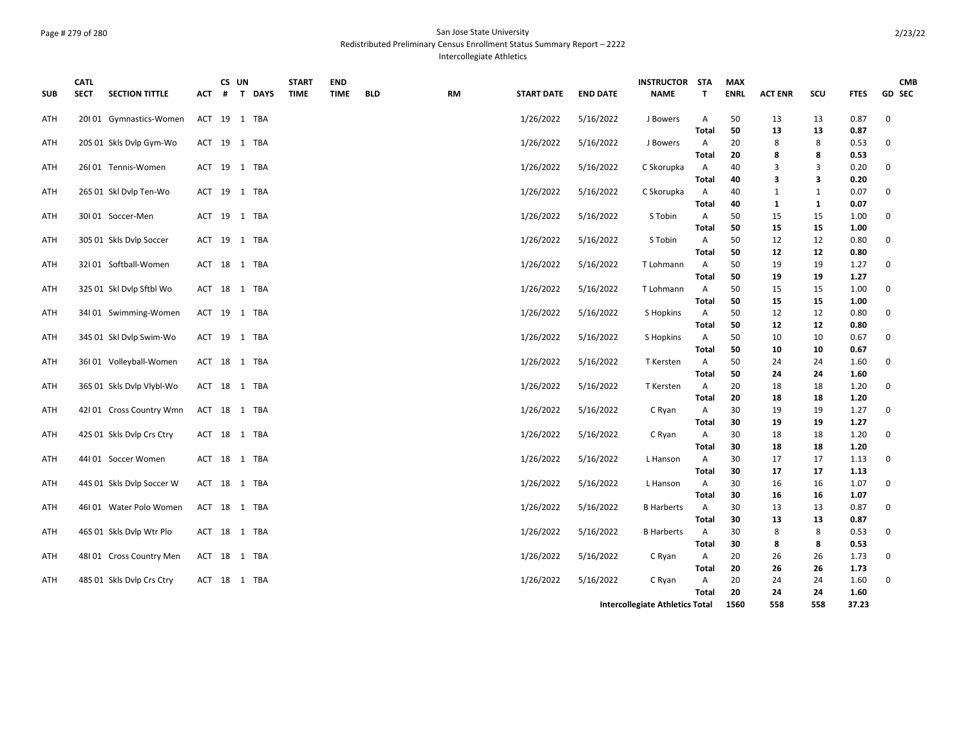## Page # 279 of 280 San Jose State University Redistributed Preliminary Census Enrollment Status Summary Report – 2222 Intercollegiate Athletics

| <b>SUB</b> | <b>CATL</b><br><b>SECT</b> | <b>SECTION TITTLE</b> | ACT | CS UN<br># | T DAYS       | <b>START</b><br><b>TIME</b> | <b>END</b><br><b>TIME</b> | <b>BLD</b> | <b>RM</b> | <b>START DATE</b> | <b>END DATE</b> | <b>INSTRUCTOR STA</b><br><b>NAME</b> | T.                      | <b>MAX</b><br><b>ENRL</b> | <b>ACT ENR</b> | scu          | <b>FTES</b>  | <b>CMB</b><br><b>GD SEC</b> |
|------------|----------------------------|-----------------------|-----|------------|--------------|-----------------------------|---------------------------|------------|-----------|-------------------|-----------------|--------------------------------------|-------------------------|---------------------------|----------------|--------------|--------------|-----------------------------|
| ATH        | 20101 Gymnastics-Women     |                       |     |            | ACT 19 1 TBA |                             |                           |            |           | 1/26/2022         | 5/16/2022       | J Bowers                             | Α                       | 50                        | 13             | 13           | 0.87         | $\mathbf 0$                 |
|            |                            |                       |     |            |              |                             |                           |            |           |                   |                 |                                      | Total                   | 50                        | 13             | 13           | 0.87         |                             |
| <b>ATH</b> | 20S 01 Skls Dvlp Gym-Wo    |                       |     |            | ACT 19 1 TBA |                             |                           |            |           | 1/26/2022         | 5/16/2022       | J Bowers                             | Α                       | 20                        | 8              | 8            | 0.53         | 0                           |
|            |                            |                       |     |            |              |                             |                           |            |           |                   |                 |                                      | Total                   | 20                        | 8              | 8            | 0.53         |                             |
| ATH        | 26I01 Tennis-Women         |                       |     |            | ACT 19 1 TBA |                             |                           |            |           | 1/26/2022         | 5/16/2022       | C Skorupka                           | $\overline{A}$<br>Total | 40<br>40                  | 3<br>3         | 3<br>3       | 0.20<br>0.20 | $\mathbf 0$                 |
| ATH        | 26S 01 Skl Dvlp Ten-Wo     |                       |     |            | ACT 19 1 TBA |                             |                           |            |           | 1/26/2022         | 5/16/2022       | C Skorupka                           | A                       | 40                        | 1              | $\mathbf{1}$ | 0.07         | 0                           |
|            |                            |                       |     |            |              |                             |                           |            |           |                   |                 |                                      | Total                   | 40                        | $\mathbf{1}$   | $\mathbf{1}$ | 0.07         |                             |
| ATH        | 30I01 Soccer-Men           |                       |     |            | ACT 19 1 TBA |                             |                           |            |           | 1/26/2022         | 5/16/2022       | S Tobin                              | Α                       | 50                        | 15             | 15           | 1.00         | 0                           |
|            |                            |                       |     |            |              |                             |                           |            |           |                   |                 |                                      | Total                   | 50                        | 15             | 15           | 1.00         |                             |
| ATH        | 30S 01 Skls Dvlp Soccer    |                       |     |            | ACT 19 1 TBA |                             |                           |            |           | 1/26/2022         | 5/16/2022       | S Tobin                              | Α                       | 50                        | 12             | 12           | 0.80         | $\mathbf 0$                 |
|            |                            |                       |     |            |              |                             |                           |            |           |                   |                 |                                      | Total                   | 50                        | 12             | 12           | 0.80         |                             |
| ATH        | 32I 01 Softball-Women      |                       |     |            | ACT 18 1 TBA |                             |                           |            |           | 1/26/2022         | 5/16/2022       | T Lohmann                            | A                       | 50                        | 19             | 19           | 1.27         | 0                           |
|            |                            |                       |     |            |              |                             |                           |            |           |                   |                 |                                      | Total                   | 50                        | 19             | 19           | 1.27         |                             |
| ATH        | 32S 01 Skl Dvlp Sftbl Wo   |                       |     |            | ACT 18 1 TBA |                             |                           |            |           | 1/26/2022         | 5/16/2022       | T Lohmann                            | A                       | 50                        | 15             | 15           | 1.00         | 0                           |
|            |                            |                       |     |            |              |                             |                           |            |           |                   |                 |                                      | Total                   | 50                        | 15             | 15           | 1.00         |                             |
| ATH        | 34I 01 Swimming-Women      |                       |     |            | ACT 19 1 TBA |                             |                           |            |           | 1/26/2022         | 5/16/2022       | S Hopkins                            | A                       | 50                        | 12             | 12           | 0.80         | 0                           |
|            |                            |                       |     |            |              |                             |                           |            |           |                   |                 |                                      | Total                   | 50                        | 12             | 12           | 0.80         |                             |
| ATH        | 34S 01 Skl Dvlp Swim-Wo    |                       |     |            | ACT 19 1 TBA |                             |                           |            |           | 1/26/2022         | 5/16/2022       | S Hopkins                            | A<br>Total              | 50<br>50                  | 10<br>10       | 10<br>10     | 0.67<br>0.67 | 0                           |
| ATH        | 36I 01 Volleyball-Women    |                       |     |            | ACT 18 1 TBA |                             |                           |            |           | 1/26/2022         | 5/16/2022       | T Kersten                            | A                       | 50                        | 24             | 24           | 1.60         | 0                           |
|            |                            |                       |     |            |              |                             |                           |            |           |                   |                 |                                      | Total                   | 50                        | 24             | 24           | 1.60         |                             |
| ATH        | 36S 01 Skls Dvlp Vlybl-Wo  |                       |     |            | ACT 18 1 TBA |                             |                           |            |           | 1/26/2022         | 5/16/2022       | T Kersten                            | A                       | 20                        | 18             | 18           | 1.20         | $\pmb{0}$                   |
|            |                            |                       |     |            |              |                             |                           |            |           |                   |                 |                                      | Total                   | 20                        | 18             | 18           | 1.20         |                             |
| ATH        | 42101 Cross Country Wmn    |                       |     |            | ACT 18 1 TBA |                             |                           |            |           | 1/26/2022         | 5/16/2022       | C Ryan                               | A                       | 30                        | 19             | 19           | 1.27         | 0                           |
|            |                            |                       |     |            |              |                             |                           |            |           |                   |                 |                                      | Total                   | 30                        | 19             | 19           | 1.27         |                             |
| ATH        | 42S 01 Skls Dvlp Crs Ctry  |                       |     |            | ACT 18 1 TBA |                             |                           |            |           | 1/26/2022         | 5/16/2022       | C Ryan                               | Α                       | 30                        | 18             | 18           | 1.20         | $\pmb{0}$                   |
|            |                            |                       |     |            |              |                             |                           |            |           |                   |                 |                                      | Total                   | 30                        | 18             | 18           | 1.20         |                             |
| ATH        | 44I 01 Soccer Women        |                       |     |            | ACT 18 1 TBA |                             |                           |            |           | 1/26/2022         | 5/16/2022       | L Hanson                             | A                       | 30                        | 17             | 17           | 1.13         | 0                           |
|            |                            |                       |     |            |              |                             |                           |            |           |                   |                 |                                      | Total                   | 30                        | 17             | 17           | 1.13         |                             |
| ATH        | 44S 01 Skls Dvlp Soccer W  |                       |     |            | ACT 18 1 TBA |                             |                           |            |           | 1/26/2022         | 5/16/2022       | L Hanson                             | A<br>Total              | 30<br>30                  | 16<br>16       | 16<br>16     | 1.07<br>1.07 | 0                           |
| ATH        | 46I 01 Water Polo Women    |                       |     |            | ACT 18 1 TBA |                             |                           |            |           | 1/26/2022         | 5/16/2022       | <b>B Harberts</b>                    | A                       | 30                        | 13             | 13           | 0.87         | 0                           |
|            |                            |                       |     |            |              |                             |                           |            |           |                   |                 |                                      | Total                   | 30                        | 13             | 13           | 0.87         |                             |
| ATH        | 46S 01 Skls Dvlp Wtr Plo   |                       |     |            | ACT 18 1 TBA |                             |                           |            |           | 1/26/2022         | 5/16/2022       | <b>B</b> Harberts                    | A                       | 30                        | 8              | 8            | 0.53         | 0                           |
|            |                            |                       |     |            |              |                             |                           |            |           |                   |                 |                                      | Total                   | 30                        | 8              | 8            | 0.53         |                             |
| ATH        | 48I 01 Cross Country Men   |                       |     |            | ACT 18 1 TBA |                             |                           |            |           | 1/26/2022         | 5/16/2022       | C Ryan                               | A                       | 20                        | 26             | 26           | 1.73         | $\mathbf 0$                 |
|            |                            |                       |     |            |              |                             |                           |            |           |                   |                 |                                      | Total                   | 20                        | 26             | 26           | 1.73         |                             |
| ATH        | 48S 01 Skls Dvlp Crs Ctry  |                       |     |            | ACT 18 1 TBA |                             |                           |            |           | 1/26/2022         | 5/16/2022       | C Ryan                               | Α                       | 20                        | 24             | 24           | 1.60         | 0                           |
|            |                            |                       |     |            |              |                             |                           |            |           |                   |                 |                                      | Total                   | 20                        | 24             | 24           | 1.60         |                             |
|            |                            |                       |     |            |              |                             |                           |            |           |                   |                 | Intercollegiate Athletics Total      |                         | 1560                      | 558            | 558          | 37.23        |                             |